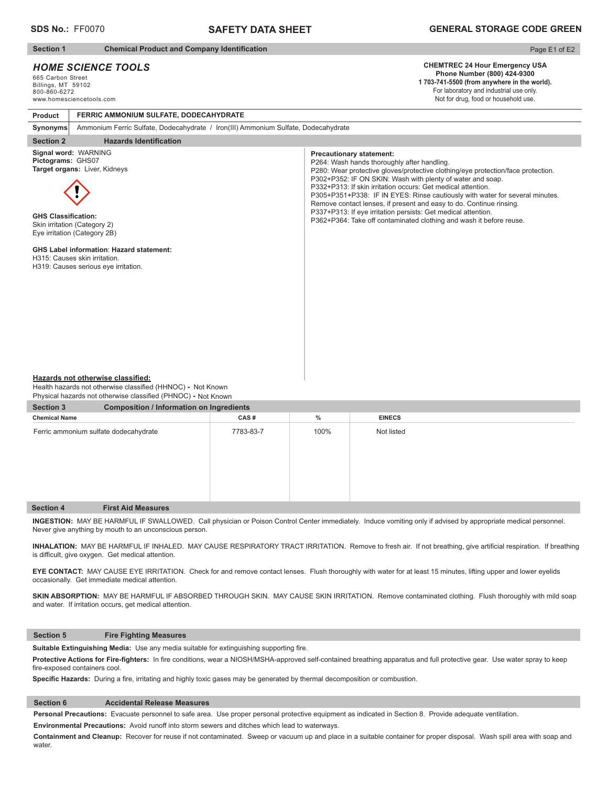## **SAFETY DATA SHEET**

#### **Section 1** Chemical Product and Company Identification

## *HOME SCIENCE TOOLS*

665 Carbon Street Billings, MT 59102 800-860-6272 www.homesciencetools.com

# Page E1 of E2

## **CHEMTREC 24 Hour Emergency USA Phone Number (800) 424-9300**

**1 703-741-5500 (from anywhere in the world).** For laboratory and industrial use only. Not for drug, food or household use.

#### **Product FERRIC AMMONIUM SULFATE, DODECAHYDRATE**

**Synonyms** Ammonium Ferric Sulfate, Dodecahydrate / Iron(III) Ammonium Sulfate, Dodecahydrate

## **Section 2** Hazards Identification

**Signal word:** WARNING **Pictograms:** GHS07 **Target organs:** Liver, Kidneys



**GHS Classification:** Skin irritation (Category 2) Eye irritation (Category 2B)

### **GHS Label information**: **Hazard statement:**

H315: Causes skin irritation.

H319: Causes serious eye irritation.

#### **Precautionary statement:**

P264: Wash hands thoroughly after handling. P280: Wear protective gloves/protective clothing/eye protection/face protection. P302+P352: IF ON SKIN: Wash with plenty of water and soap. P332+P313: If skin irritation occurs: Get medical attention. P305+P351+P338: IF IN EYES: Rinse cautiously with water for several minutes. Remove contact lenses, if present and easy to do. Continue rinsing. P337+P313: If eye irritation persists: Get medical attention. P362+P364: Take off contaminated clothing and wash it before reuse.

#### **Hazards not otherwise classified:**

Health hazards not otherwise classified (HHNOC) - Not Known Physical hazards not otherwise classified (PHNOC) **-** Not Known

| <b>Section 3</b>                      | <b>Composition / Information on Ingredients</b> |           |      |               |  |  |  |  |
|---------------------------------------|-------------------------------------------------|-----------|------|---------------|--|--|--|--|
| <b>Chemical Name</b>                  |                                                 | CAS#      | $\%$ | <b>EINECS</b> |  |  |  |  |
| Ferric ammonium sulfate dodecahydrate |                                                 | 7783-83-7 | 100% | Not listed    |  |  |  |  |
| <b>Section 4</b>                      | <b>First Aid Measures</b>                       |           |      |               |  |  |  |  |

**INGESTION:** MAY BE HARMFUL IF SWALLOWED. Call physician or Poison Control Center immediately. Induce vomiting only if advised by appropriate medical personnel. Never give anything by mouth to an unconscious person.

INHALATION: MAY BE HARMFUL IF INHALED. MAY CAUSE RESPIRATORY TRACT IRRITATION. Remove to fresh air. If not breathing, give artificial respiration. If breathing is difficult, give oxygen. Get medical attention.

**EYE CONTACT:** MAY CAUSE EYE IRRITATION. Check for and remove contact lenses. Flush thoroughly with water for at least 15 minutes, lifting upper and lower eyelids occasionally. Get immediate medical attention.

SKIN ABSORPTION: MAY BE HARMFUL IF ABSORBED THROUGH SKIN. MAY CAUSE SKIN IRRITATION. Remove contaminated clothing. Flush thoroughly with mild soap and water. If irritation occurs, get medical attention.

#### **Section 5 Fire Fighting Measures**

Suitable Extinguishing Media: Use any media suitable for extinguishing supporting fire.

Protective Actions for Fire-fighters: In fire conditions, wear a NIOSH/MSHA-approved self-contained breathing apparatus and full protective gear. Use water spray to keep fire-exposed containers cool.

Specific Hazards: During a fire, irritating and highly toxic gases may be generated by thermal decomposition or combustion.

## **Section 6 Accidental Release Measures**

**Personal Precautions:** Evacuate personnel to safe area. Use proper personal protective equipment as indicated in Section 8. Provide adequate ventilation.

**Environmental Precautions:** Avoid runoff into storm sewers and ditches which lead to waterways.

**Containment and Cleanup:** Recover for reuse if not contaminated. Sweep or vacuum up and place in a suitable container for proper disposal. Wash spill area with soap and water.